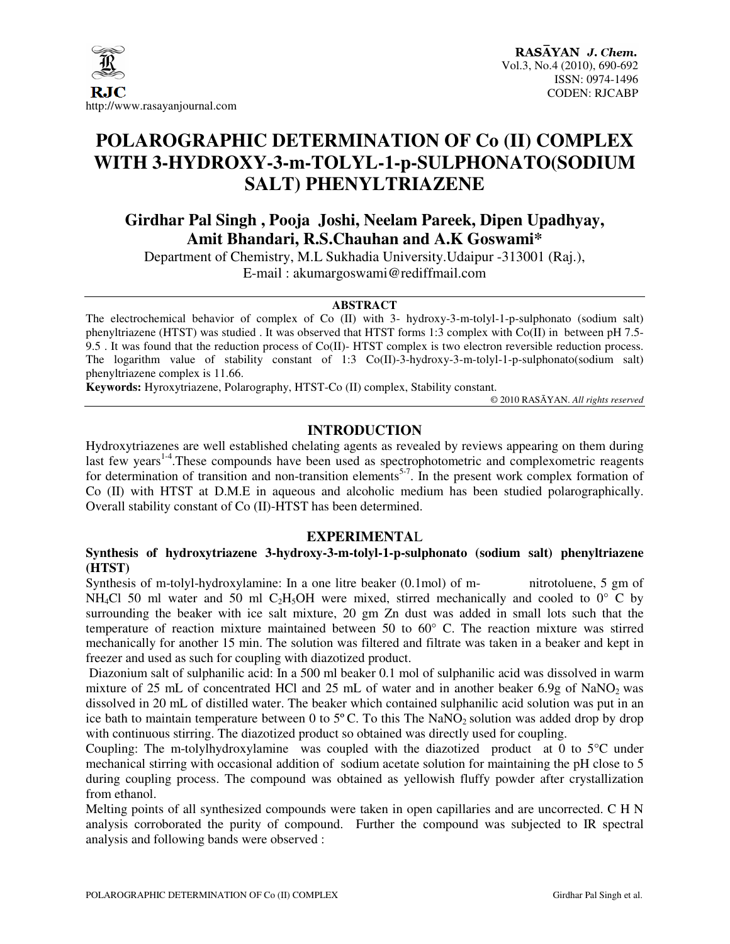

# **POLAROGRAPHIC DETERMINATION OF Co (II) COMPLEX WITH 3-HYDROXY-3-m-TOLYL-1-p-SULPHONATO(SODIUM SALT) PHENYLTRIAZENE**

**Girdhar Pal Singh , Pooja Joshi, Neelam Pareek, Dipen Upadhyay, Amit Bhandari, R.S.Chauhan and A.K Goswami\*** 

Department of Chemistry, M.L Sukhadia University.Udaipur -313001 (Raj.), E-mail : akumargoswami@rediffmail.com

#### **ABSTRACT**

The electrochemical behavior of complex of Co (II) with 3- hydroxy-3-m-tolyl-1-p-sulphonato (sodium salt) phenyltriazene (HTST) was studied . It was observed that HTST forms 1:3 complex with Co(II) in between pH 7.5- 9.5 . It was found that the reduction process of Co(II)- HTST complex is two electron reversible reduction process. The logarithm value of stability constant of 1:3 Co(II)-3-hydroxy-3-m-tolyl-1-p-sulphonato(sodium salt) phenyltriazene complex is 11.66.

**Keywords:** Hyroxytriazene, Polarography, HTST-Co (II) complex, Stability constant.

© 2010 RASĀYAN. *All rights reserved*

## **INTRODUCTION**

Hydroxytriazenes are well established chelating agents as revealed by reviews appearing on them during last few years<sup>1-4</sup>. These compounds have been used as spectrophotometric and complexometric reagents for determination of transition and non-transition elements<sup>5-7</sup>. In the present work complex formation of Co (II) with HTST at D.M.E in aqueous and alcoholic medium has been studied polarographically. Overall stability constant of Co (II)-HTST has been determined.

#### **EXPERIMENTA**L

#### **Synthesis of hydroxytriazene 3-hydroxy-3-m-tolyl-1-p-sulphonato (sodium salt) phenyltriazene (HTST)**

Synthesis of m-tolyl-hydroxylamine: In a one litre beaker (0.1mol) of m-<br>mitrotoluene, 5 gm of NH<sub>4</sub>Cl 50 ml water and 50 ml C<sub>2</sub>H<sub>5</sub>OH were mixed, stirred mechanically and cooled to  $0^{\circ}$  C by surrounding the beaker with ice salt mixture, 20 gm Zn dust was added in small lots such that the temperature of reaction mixture maintained between 50 to 60° C. The reaction mixture was stirred mechanically for another 15 min. The solution was filtered and filtrate was taken in a beaker and kept in freezer and used as such for coupling with diazotized product.

 Diazonium salt of sulphanilic acid: In a 500 ml beaker 0.1 mol of sulphanilic acid was dissolved in warm mixture of 25 mL of concentrated HCl and 25 mL of water and in another beaker  $6.9g$  of NaNO<sub>2</sub> was dissolved in 20 mL of distilled water. The beaker which contained sulphanilic acid solution was put in an ice bath to maintain temperature between 0 to  $5^{\circ}$ C. To this The NaNO<sub>2</sub> solution was added drop by drop with continuous stirring. The diazotized product so obtained was directly used for coupling.

Coupling: The m-tolylhydroxylamine was coupled with the diazotized product at 0 to 5°C under mechanical stirring with occasional addition of sodium acetate solution for maintaining the pH close to 5 during coupling process. The compound was obtained as yellowish fluffy powder after crystallization from ethanol.

Melting points of all synthesized compounds were taken in open capillaries and are uncorrected. C H N analysis corroborated the purity of compound. Further the compound was subjected to IR spectral analysis and following bands were observed :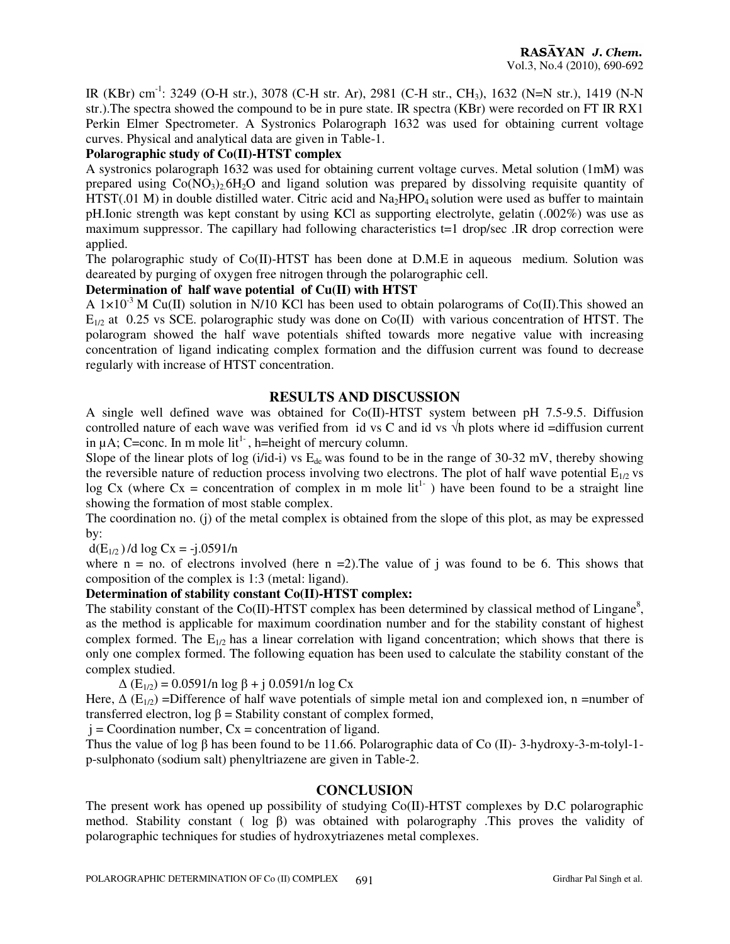IR (KBr) cm-1: 3249 (O-H str.), 3078 (C-H str. Ar), 2981 (C-H str., CH3), 1632 (N=N str.), 1419 (N-N str.).The spectra showed the compound to be in pure state. IR spectra (KBr) were recorded on FT IR RX1 Perkin Elmer Spectrometer. A Systronics Polarograph 1632 was used for obtaining current voltage curves. Physical and analytical data are given in Table-1.

#### **Polarographic study of Co(II)-HTST complex**

A systronics polarograph 1632 was used for obtaining current voltage curves. Metal solution (1mM) was prepared using  $Co(NO<sub>3</sub>)<sub>2</sub>6H<sub>2</sub>O$  and ligand solution was prepared by dissolving requisite quantity of HTST(.01 M) in double distilled water. Citric acid and  $Na<sub>2</sub>HPO<sub>4</sub>$  solution were used as buffer to maintain pH.Ionic strength was kept constant by using KCl as supporting electrolyte, gelatin (.002%) was use as maximum suppressor. The capillary had following characteristics t=1 drop/sec .IR drop correction were applied.

The polarographic study of Co(II)-HTST has been done at D.M.E in aqueous medium. Solution was deareated by purging of oxygen free nitrogen through the polarographic cell.

#### **Determination of half wave potential of Cu(II) with HTST**

A  $1\times10^{-3}$  M Cu(II) solution in N/10 KCl has been used to obtain polarograms of Co(II). This showed an  $E_{1/2}$  at 0.25 vs SCE. polarographic study was done on Co(II) with various concentration of HTST. The polarogram showed the half wave potentials shifted towards more negative value with increasing concentration of ligand indicating complex formation and the diffusion current was found to decrease regularly with increase of HTST concentration.

#### **RESULTS AND DISCUSSION**

A single well defined wave was obtained for Co(II)-HTST system between pH 7.5-9.5. Diffusion controlled nature of each wave was verified from id vs C and id vs  $\sqrt{h}$  plots where id =diffusion current in  $\mu$ A; C=conc. In m mole lit<sup>1-</sup>, h=height of mercury column.

Slope of the linear plots of log  $(i/id-i)$  vs  $E_{de}$  was found to be in the range of 30-32 mV, thereby showing the reversible nature of reduction process involving two electrons. The plot of half wave potential  $E_{1/2}$  vs log Cx (where Cx = concentration of complex in m mole  $lit<sup>1-</sup>$ ) have been found to be a straight line showing the formation of most stable complex.

The coordination no. (j) of the metal complex is obtained from the slope of this plot, as may be expressed by:

 $d(E_{1/2})/d \log Cx = -j.0591/n$ 

where  $n = no$ . of electrons involved (here  $n = 2$ ). The value of j was found to be 6. This shows that composition of the complex is 1:3 (metal: ligand).

#### **Determination of stability constant Co(II)-HTST complex:**

The stability constant of the Co(II)-HTST complex has been determined by classical method of Lingane<sup>8</sup>, as the method is applicable for maximum coordination number and for the stability constant of highest complex formed. The  $E_{1/2}$  has a linear correlation with ligand concentration; which shows that there is only one complex formed. The following equation has been used to calculate the stability constant of the complex studied.

 $Δ (E<sub>1/2</sub>) = 0.0591/n log β + j 0.0591/n log Cx$ 

Here,  $\Delta$  (E<sub>1/2</sub>) =Difference of half wave potentials of simple metal ion and complexed ion, n =number of transferred electron, log β = Stability constant of complex formed,

 $j =$ Coordination number,  $Cx =$ concentration of ligand.

Thus the value of log  $\beta$  has been found to be 11.66. Polarographic data of Co (II)-3-hydroxy-3-m-tolyl-1p-sulphonato (sodium salt) phenyltriazene are given in Table-2.

#### **CONCLUSION**

The present work has opened up possibility of studying Co(II)-HTST complexes by D.C polarographic method. Stability constant ( log β) was obtained with polarography .This proves the validity of polarographic techniques for studies of hydroxytriazenes metal complexes.